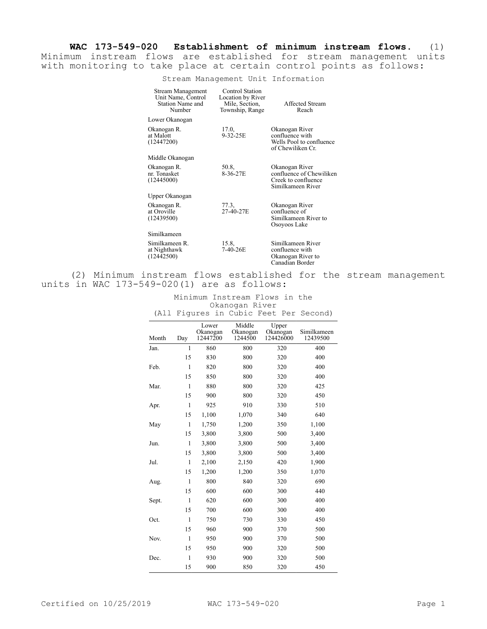**WAC 173-549-020 Establishment of minimum instream flows.** (1) Minimum instream flows are established for stream management units with monitoring to take place at certain control points as follows:

Stream Management Unit Information

| Stream Management<br>Unit Name, Control<br>Station Name and<br>Number | Control Station<br>Location by River<br>Mile, Section,<br>Township, Range | Affected Stream<br>Reach                                                               |
|-----------------------------------------------------------------------|---------------------------------------------------------------------------|----------------------------------------------------------------------------------------|
| Lower Okanogan                                                        |                                                                           |                                                                                        |
| Okanogan R.<br>at Malott<br>(12447200)                                | 17.0.<br>$9 - 32 - 25E$                                                   | Okanogan River<br>confluence with<br>Wells Pool to confluence<br>of Chewiliken Cr.     |
| Middle Okanogan                                                       |                                                                           |                                                                                        |
| Okanogan R.<br>nr. Tonasket<br>(12445000)                             | 50.8,<br>8-36-27E                                                         | Okanogan River<br>confluence of Chewiliken<br>Creek to confluence<br>Similkameen River |
| Upper Okanogan                                                        |                                                                           |                                                                                        |
| Okanogan R.<br>at Oroville<br>(12439500)                              | 77.3,<br>27-40-27E                                                        | Okanogan River<br>confluence of<br>Similkameen River to<br>Osoyoos Lake                |
| Similkameen                                                           |                                                                           |                                                                                        |
| Similkameen R.<br>at Nighthawk<br>(12442500)                          | 15.8,<br>7-40-26E                                                         | Similkameen River<br>confluence with<br>Okanogan River to<br>Canadian Border           |

(2) Minimum instream flows established for the stream management units in WAC 173-549-020(1) are as follows:

|                | Minimum Instream Flows in the          |  |  |  |  |  |  |  |
|----------------|----------------------------------------|--|--|--|--|--|--|--|
| Okanogan River |                                        |  |  |  |  |  |  |  |
|                | (All Figures in Cubic Feet Per Second) |  |  |  |  |  |  |  |

| Month | Day          | Lower<br>Okanogan<br>12447200 | Middle<br>Okanogan<br>1244500 | Upper<br>Okanogan<br>124426000 | Similkameen<br>12439500 |
|-------|--------------|-------------------------------|-------------------------------|--------------------------------|-------------------------|
| Jan.  | $\mathbf{1}$ | 860                           | 800                           | 320                            | 400                     |
|       | 15           | 830                           | 800                           | 320                            | 400                     |
| Feb.  | $\mathbf{1}$ | 820                           | 800                           | 320                            | 400                     |
|       | 15           | 850                           | 800                           | 320                            | 400                     |
| Mar.  | $\mathbf{1}$ | 880                           | 800                           | 320                            | 425                     |
|       | 15           | 900                           | 800                           | 320                            | 450                     |
| Apr.  | $\mathbf{1}$ | 925                           | 910                           | 330                            | 510                     |
|       | 15           | 1,100                         | 1,070                         | 340                            | 640                     |
| May   | $\mathbf{1}$ | 1,750                         | 1,200                         | 350                            | 1,100                   |
|       | 15           | 3,800                         | 3,800                         | 500                            | 3,400                   |
| Jun.  | $\mathbf{1}$ | 3,800                         | 3,800                         | 500                            | 3,400                   |
|       | 15           | 3,800                         | 3,800                         | 500                            | 3,400                   |
| Jul.  | $\mathbf{1}$ | 2,100                         | 2,150                         | 420                            | 1,900                   |
|       | 15           | 1,200                         | 1,200                         | 350                            | 1,070                   |
| Aug.  | $\mathbf{1}$ | 800                           | 840                           | 320                            | 690                     |
|       | 15           | 600                           | 600                           | 300                            | 440                     |
| Sept. | $\mathbf{1}$ | 620                           | 600                           | 300                            | 400                     |
|       | 15           | 700                           | 600                           | 300                            | 400                     |
| Oct.  | $\mathbf{1}$ | 750                           | 730                           | 330                            | 450                     |
|       | 15           | 960                           | 900                           | 370                            | 500                     |
| Nov.  | $\mathbf{1}$ | 950                           | 900                           | 370                            | 500                     |
|       | 15           | 950                           | 900                           | 320                            | 500                     |
| Dec.  | $\mathbf{1}$ | 930                           | 900                           | 320                            | 500                     |
|       | 15           | 900                           | 850                           | 320                            | 450                     |